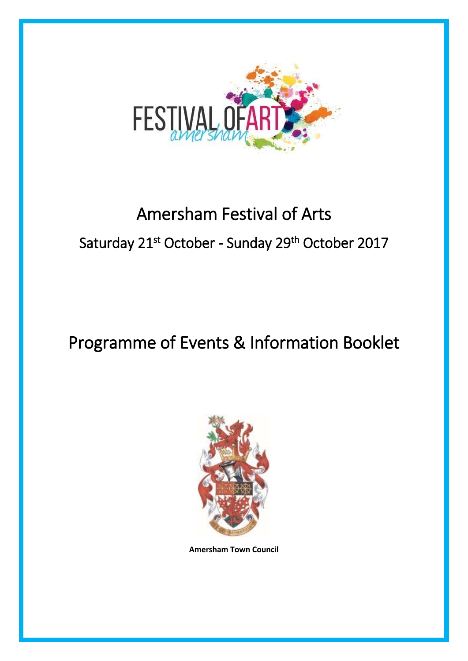

# Amersham Festival of Arts Saturday 21<sup>st</sup> October - Sunday 29<sup>th</sup> October 2017

# Programme of Events & Information Booklet



**Amersham Town Council**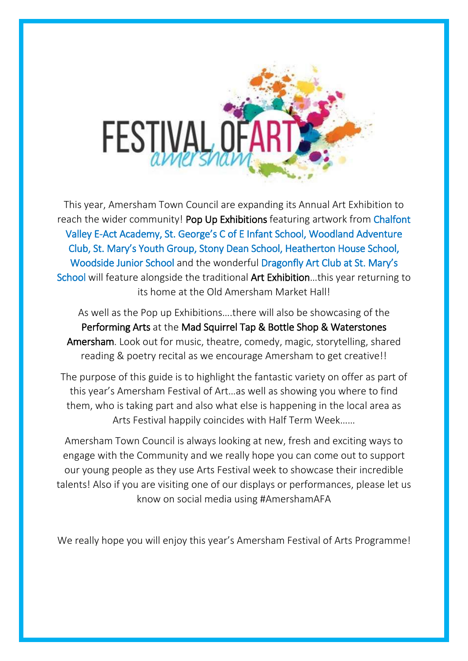

This year, Amersham Town Council are expanding its Annual Art Exhibition to reach the wider community! Pop Up Exhibitions featuring artwork from Chalfont Valley E-Act Academy, St. George's C of E Infant School, Woodland Adventure Club, St. Mary's Youth Group, Stony Dean School, Heatherton House School, Woodside Junior School and the wonderful Dragonfly Art Club at St. Mary's School will feature alongside the traditional Art Exhibition…this year returning to its home at the Old Amersham Market Hall!

As well as the Pop up Exhibitions….there will also be showcasing of the Performing Arts at the Mad Squirrel Tap & Bottle Shop & Waterstones Amersham. Look out for music, theatre, comedy, magic, storytelling, shared reading & poetry recital as we encourage Amersham to get creative!!

The purpose of this guide is to highlight the fantastic variety on offer as part of this year's Amersham Festival of Art…as well as showing you where to find them, who is taking part and also what else is happening in the local area as Arts Festival happily coincides with Half Term Week……

Amersham Town Council is always looking at new, fresh and exciting ways to engage with the Community and we really hope you can come out to support our young people as they use Arts Festival week to showcase their incredible talents! Also if you are visiting one of our displays or performances, please let us know on social media using #AmershamAFA

We really hope you will enjoy this year's Amersham Festival of Arts Programme!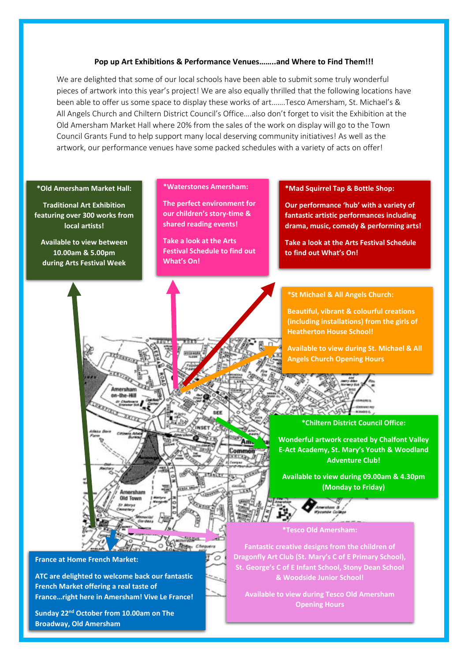#### **Pop up Art Exhibitions & Performance Venues……..and Where to Find Them!!!**

We are delighted that some of our local schools have been able to submit some truly wonderful pieces of artwork into this year's project! We are also equally thrilled that the following locations have been able to offer us some space to display these works of art…….Tesco Amersham, St. Michael's & All Angels Church and Chiltern District Council's Office….also don't forget to visit the Exhibition at the Old Amersham Market Hall where 20% from the sales of the work on display will go to the Town Council Grants Fund to help support many local deserving community initiatives! As well as the artwork, our performance venues have some packed schedules with a variety of acts on offer!

#### **\*Old Amersham Market Hall:**

 **Traditional Art Exhibition featuring over 300 works from local artists!**

**Available to view between 10.00am & 5.00pm during Arts Festival Week**

#### **\*Waterstones Amersham:**

**The perfect environment for our children's story-time & shared reading events!** 

**Take a look at the Arts Festival Schedule to find out What's On!** 

Commo

 $\circ$ 

#### **\*Mad Squirrel Tap & Bottle Shop:**

**Our performance 'hub' with a variety of fantastic artistic performances including drama, music, comedy & performing arts!**

**Take a look at the Arts Festival Schedule to find out What's On!** 

#### **\*St Michael & All Angels Church:**

**Beautiful, vibrant & colourful creations (including installations) from the girls of Heatherton House School!** 

**Available to view during St. Michael & All Angels Church Opening Hours** 



#### **\*Chiltern District Council Office:**

**Wonderful artwork created by Chalfont Valley E-Act Academy, St. Mary's Youth & Woodland Adventure Club!**

**Available to view during 09.00am & 4.30pm (Monday to Friday)**

#### **\*Tesco Old Amersham:**

**Fantastic creative designs from the children of Dragonfly Art Club (St. Mary's C of E Primary School), St. George's C of E Infant School, Stony Dean School & Woodside Junior School!**

**Available to view during Tesco Old Amersham Opening Hours**



**ATC are delighted to welcome back our fantastic French Market offering a real taste of France…right here in Amersham! Vive Le France!** 

no. the MI

**REALING** 

**Sunday 22nd October from 10.00am on The Broadway, Old Amersham**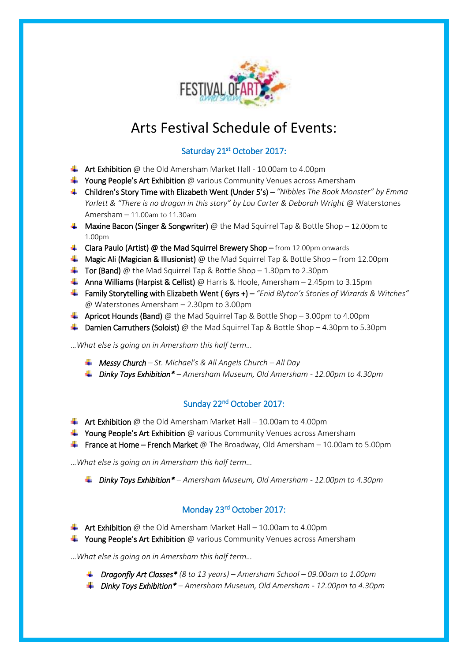

## Arts Festival Schedule of Events:

## Saturday 21<sup>st</sup> October 2017:

- $\triangleq$  Art Exhibition @ the Old Amersham Market Hall 10.00am to 4.00pm
- $\frac{1}{\sqrt{1}}$  Young People's Art Exhibition @ various Community Venues across Amersham
- Children's Story Time with Elizabeth Went (Under 5's) *"Nibbles The Book Monster" by Emma Yarlett & "There is no dragon in this story" by Lou Carter & Deborah Wright* @ Waterstones Amersham – 11.00am to 11.30am
- **Maxine Bacon (Singer & Songwriter)** @ the Mad Squirrel Tap & Bottle Shop 12.00pm to 1.00pm
- $\downarrow$  Ciara Paulo (Artist) @ the Mad Squirrel Brewery Shop from 12.00pm onwards
- **Magic Ali (Magician & Illusionist)** @ the Mad Squirrel Tap & Bottle Shop from 12.00pm
- $\overline{\phantom{a} \bullet}$  Tor (Band) @ the Mad Squirrel Tap & Bottle Shop 1.30pm to 2.30pm
- **Anna Williams (Harpist & Cellist)** @ Harris & Hoole, Amersham 2.45pm to 3.15pm
- Family Storytelling with Elizabeth Went ( 6yrs +) *"Enid Blyton's Stories of Wizards & Witches"* @ Waterstones Amersham – 2.30pm to 3.00pm
- **4** Apricot Hounds (Band) @ the Mad Squirrel Tap & Bottle Shop 3.00pm to 4.00pm
- **L** Damien Carruthers (Soloist) @ the Mad Squirrel Tap & Bottle Shop 4.30pm to 5.30pm

*…What else is going on in Amersham this half term…*

- *Messy Church – St. Michael's & All Angels Church – All Day*
- *Dinky Toys Exhibition\* – Amersham Museum, Old Amersham - 12.00pm to 4.30pm*

## Sunday 22<sup>nd</sup> October 2017:

- $\bigstar$  Art Exhibition @ the Old Amersham Market Hall 10.00am to 4.00pm
- $\frac{1}{2}$  Young People's Art Exhibition @ various Community Venues across Amersham
- **France at Home French Market** @ The Broadway, Old Amersham 10.00am to 5.00pm

*…What else is going on in Amersham this half term…*

*Dinky Toys Exhibition\* – Amersham Museum, Old Amersham - 12.00pm to 4.30pm* 

### Monday 23rd October 2017:

- $\overline{\text{+}}$  Art Exhibition @ the Old Amersham Market Hall 10.00am to 4.00pm
- $\ddot{\bullet}$  Young People's Art Exhibition @ various Community Venues across Amersham
- *…What else is going on in Amersham this half term…*
	- *Dragonfly Art Classes\* (8 to 13 years) – Amersham School – 09.00am to 1.00pm*
	- *Dinky Toys Exhibition\* – Amersham Museum, Old Amersham - 12.00pm to 4.30pm*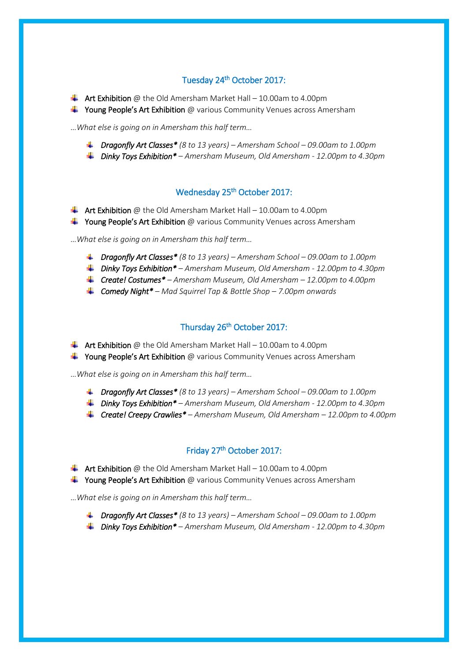#### Tuesday 24<sup>th</sup> October 2017:

- $\downarrow$  Art Exhibition @ the Old Amersham Market Hall 10.00am to 4.00pm
- **+ Young People's Art Exhibition** @ various Community Venues across Amersham

*…What else is going on in Amersham this half term…*

- *Dragonfly Art Classes\* (8 to 13 years) – Amersham School – 09.00am to 1.00pm*
- *Dinky Toys Exhibition\* – Amersham Museum, Old Amersham - 12.00pm to 4.30pm*

#### Wednesday 25th October 2017:

- $\bigstar$  Art Exhibition @ the Old Amersham Market Hall 10.00am to 4.00pm
- $\ddot{\bullet}$  Young People's Art Exhibition @ various Community Venues across Amersham

*…What else is going on in Amersham this half term…*

- *Dragonfly Art Classes\* (8 to 13 years) – Amersham School – 09.00am to 1.00pm*
- *Dinky Toys Exhibition\* – Amersham Museum, Old Amersham - 12.00pm to 4.30pm*
- *Create! Costumes\* – Amersham Museum, Old Amersham – 12.00pm to 4.00pm*
- *Comedy Night\* – Mad Squirrel Tap & Bottle Shop – 7.00pm onwards*

#### Thursday 26<sup>th</sup> October 2017:

- $\downarrow$  Art Exhibition @ the Old Amersham Market Hall 10.00am to 4.00pm
- $\frac{1}{2}$  Young People's Art Exhibition @ various Community Venues across Amersham

*…What else is going on in Amersham this half term…*

- *Dragonfly Art Classes\* (8 to 13 years) – Amersham School – 09.00am to 1.00pm*
- *Dinky Toys Exhibition\* – Amersham Museum, Old Amersham - 12.00pm to 4.30pm*
- *Create! Creepy Crawlies\* – Amersham Museum, Old Amersham – 12.00pm to 4.00pm*

#### Friday 27th October 2017:

- $\frac{1}{2}$  Art Exhibition @ the Old Amersham Market Hall 10.00am to 4.00pm
- $\frac{1}{2}$  Young People's Art Exhibition @ various Community Venues across Amersham

*…What else is going on in Amersham this half term…*

- *Dragonfly Art Classes\* (8 to 13 years) – Amersham School – 09.00am to 1.00pm*
- *Dinky Toys Exhibition\* – Amersham Museum, Old Amersham - 12.00pm to 4.30pm*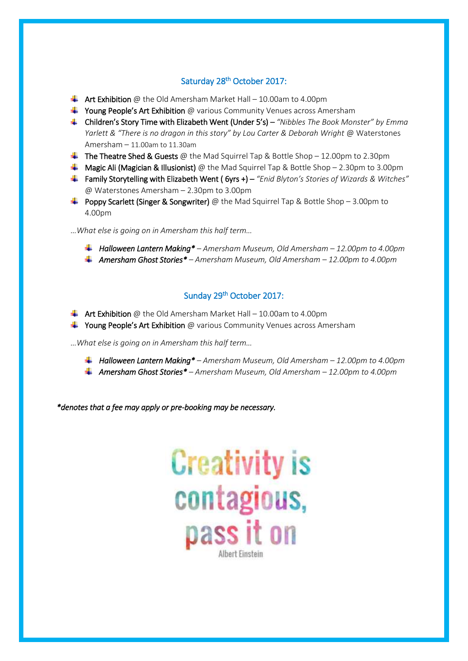#### Saturday 28<sup>th</sup> October 2017:

- $\bigstar$  Art Exhibition @ the Old Amersham Market Hall 10.00am to 4.00pm
- $\frac{1}{2}$  Young People's Art Exhibition @ various Community Venues across Amersham
- Children's Story Time with Elizabeth Went (Under 5's) *"Nibbles The Book Monster" by Emma Yarlett & "There is no dragon in this story" by Lou Carter & Deborah Wright* @ Waterstones Amersham – 11.00am to 11.30am
- **The Theatre Shed & Guests** @ the Mad Squirrel Tap & Bottle Shop 12.00pm to 2.30pm
- **Magic Ali (Magician & Illusionist)** @ the Mad Squirrel Tap & Bottle Shop 2.30pm to 3.00pm
- Family Storytelling with Elizabeth Went ( 6yrs +) *"Enid Blyton's Stories of Wizards & Witches"* @ Waterstones Amersham – 2.30pm to 3.00pm
- **+** Poppy Scarlett (Singer & Songwriter) @ the Mad Squirrel Tap & Bottle Shop 3.00pm to 4.00pm

*…What else is going on in Amersham this half term…*

- *Halloween Lantern Making\* – Amersham Museum, Old Amersham – 12.00pm to 4.00pm*
- *Amersham Ghost Stories\* – Amersham Museum, Old Amersham – 12.00pm to 4.00pm*

#### Sunday 29<sup>th</sup> October 2017:

- $\bigstar$  Art Exhibition @ the Old Amersham Market Hall 10.00am to 4.00pm
- $\frac{1}{2}$  Young People's Art Exhibition @ various Community Venues across Amersham

*…What else is going on in Amersham this half term…*

- *Halloween Lantern Making\* – Amersham Museum, Old Amersham – 12.00pm to 4.00pm*
- *Amersham Ghost Stories\* – Amersham Museum, Old Amersham – 12.00pm to 4.00pm*

*\*denotes that a fee may apply or pre-booking may be necessary.*

# **Creativity is** contagious, pass it on **Albert Finstein**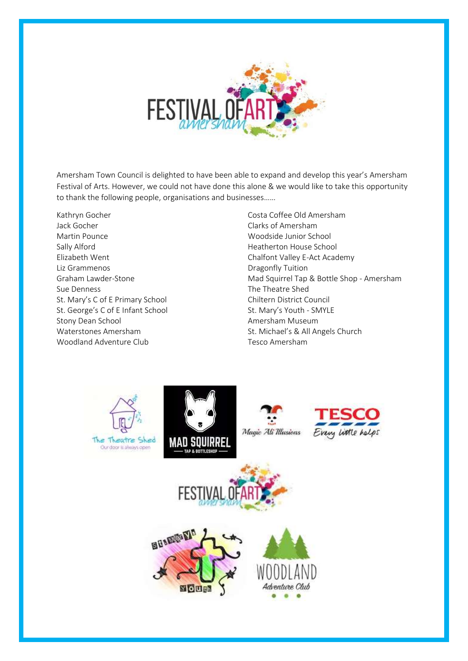

Amersham Town Council is delighted to have been able to expand and develop this year's Amersham Festival of Arts. However, we could not have done this alone & we would like to take this opportunity to thank the following people, organisations and businesses……

Kathryn Gocher Jack Gocher Martin Pounce Sally Alford Elizabeth Went Liz Grammenos Graham Lawder-Stone Sue Denness St. Mary's C of E Primary School St. George's C of E Infant School Stony Dean School Waterstones Amersham Woodland Adventure Club

Costa Coffee Old Amersham Clarks of Amersham Woodside Junior School Heatherton House School Chalfont Valley E-Act Academy Dragonfly Tuition Mad Squirrel Tap & Bottle Shop - Amersham The Theatre Shed Chiltern District Council St. Mary's Youth - SMYLE Amersham Museum St. Michael's & All Angels Church Tesco Amersham